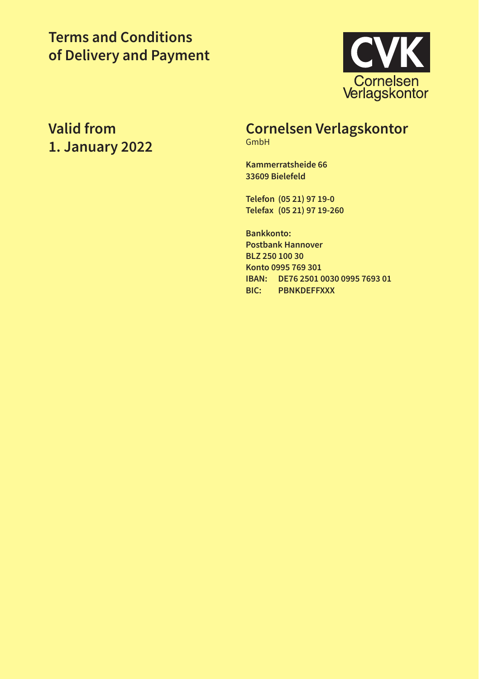# **Terms and Conditions of Delivery and Payment**



# **Valid from 1. January 2022**

# **Cornelsen Verlagskontor**

GmbH

**Kammerratsheide 66 33609 Bielefeld**

**Telefon (05 21) 97 19-0 Telefax (05 21) 97 19-260**

**Bankkonto: Postbank Hannover BLZ 250 100 30 Konto 0995 769 301 IBAN: DE76 2501 0030 0995 7693 01 BIC: PBNKDEFFXXX**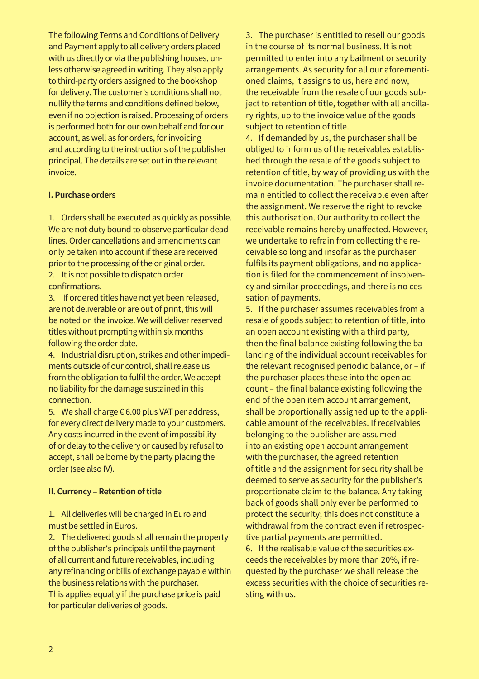The following Terms and Conditions of Delivery and Payment apply to all delivery orders placed with us directly or via the publishing houses, unless otherwise agreed in writing. They also apply to third-party orders assigned to the bookshop for delivery. The customer's conditions shall not nullify the terms and conditions defined below, even if no objection is raised. Processing of orders is performed both for our own behalf and for our account, as well as for orders, for invoicing and according to the instructions of the publisher principal. The details are set out in the relevant invoice.

#### **I. Purchase orders**

1. Orders shall be executed as quickly as possible. We are not duty bound to observe particular deadlines. Order cancellations and amendments can only be taken into account if these are received prior to the processing of the original order. 2. It is not possible to dispatch order

confirmations.

3. If ordered titles have not yet been released, are not deliverable or are out of print, this will be noted on the invoice. We will deliver reserved titles without prompting within six months following the order date.

4. Industrial disruption, strikes and other impediments outside of our control, shall release us from the obligation to fulfil the order. We accept no liability for the damage sustained in this connection.

5. We shall charge € 6.00 plus VAT per address, for every direct delivery made to your customers. Any costs incurred in the event of impossibility of or delay to the delivery or caused by refusal to accept, shall be borne by the party placing the order (see also IV).

#### **II. Currency – Retention of title**

1. All deliveries will be charged in Euro and must be settled in Euros.

2. The delivered goods shall remain the property of the publisher's principals until the payment of all current and future receivables, including any refinancing or bills of exchange payable within the business relations with the purchaser. This applies equally if the purchase price is paid for particular deliveries of goods.

3. The purchaser is entitled to resell our goods in the course of its normal business. It is not permitted to enter into any bailment or security arrangements. As security for all our aforementioned claims, it assigns to us, here and now, the receivable from the resale of our goods subject to retention of title, together with all ancillary rights, up to the invoice value of the goods subject to retention of title.

4. If demanded by us, the purchaser shall be obliged to inform us of the receivables established through the resale of the goods subject to retention of title, by way of providing us with the invoice documentation. The purchaser shall remain entitled to collect the receivable even after the assignment. We reserve the right to revoke this authorisation. Our authority to collect the receivable remains hereby unaffected. However, we undertake to refrain from collecting the receivable so long and insofar as the purchaser fulfils its payment obligations, and no application is filed for the commencement of insolvency and similar proceedings, and there is no cessation of payments.

5. If the purchaser assumes receivables from a resale of goods subject to retention of title, into an open account existing with a third party, then the final balance existing following the balancing of the individual account receivables for the relevant recognised periodic balance, or – if the purchaser places these into the open account – the final balance existing following the end of the open item account arrangement, shall be proportionally assigned up to the applicable amount of the receivables. If receivables belonging to the publisher are assumed into an existing open account arrangement with the purchaser, the agreed retention of title and the assignment for security shall be deemed to serve as security for the publisher's proportionate claim to the balance. Any taking back of goods shall only ever be performed to protect the security; this does not constitute a withdrawal from the contract even if retrospective partial payments are permitted.

6. If the realisable value of the securities exceeds the receivables by more than 20%, if requested by the purchaser we shall release the excess securities with the choice of securities resting with us.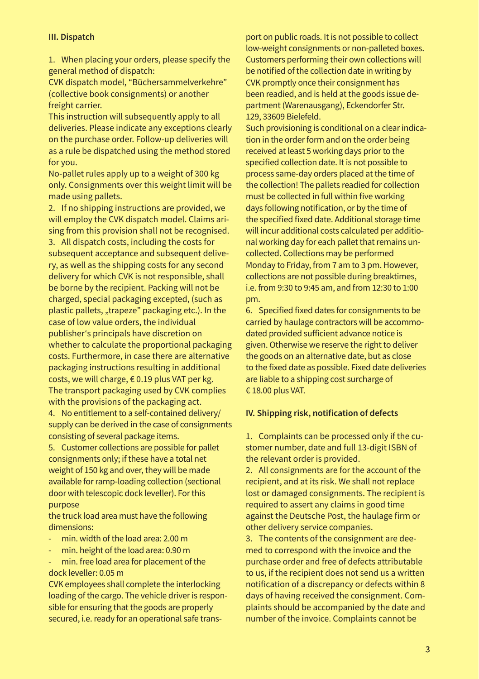# **III. Dispatch**

1. When placing your orders, please specify the general method of dispatch:

CVK dispatch model, "Büchersammelverkehre" (collective book consignments) or another freight carrier.

This instruction will subsequently apply to all deliveries. Please indicate any exceptions clearly on the purchase order. Follow-up deliveries will as a rule be dispatched using the method stored for you.

No-pallet rules apply up to a weight of 300 kg only. Consignments over this weight limit will be made using pallets.

2. If no shipping instructions are provided, we will employ the CVK dispatch model. Claims arising from this provision shall not be recognised.

3. All dispatch costs, including the costs for subsequent acceptance and subsequent delivery, as well as the shipping costs for any second delivery for which CVK is not responsible, shall be borne by the recipient. Packing will not be charged, special packaging excepted, (such as plastic pallets, "trapeze" packaging etc.). In the case of low value orders, the individual publisher's principals have discretion on whether to calculate the proportional packaging costs. Furthermore, in case there are alternative packaging instructions resulting in additional costs, we will charge, € 0.19 plus VAT per kg. The transport packaging used by CVK complies with the provisions of the packaging act.

4. No entitlement to a self-contained delivery/ supply can be derived in the case of consignments consisting of several package items.

5. Customer collections are possible for pallet consignments only; if these have a total net weight of 150 kg and over, they will be made available for ramp-loading collection (sectional door with telescopic dock leveller). For this purpose

the truck load area must have the following dimensions:

- min. width of the load area: 2.00 m
- min. height of the load area: 0.90 m

min. free load area for placement of the dock leveller: 0.05 m

CVK employees shall complete the interlocking loading of the cargo. The vehicle driver is responsible for ensuring that the goods are properly secured, i.e. ready for an operational safe trans-

port on public roads. It is not possible to collect low-weight consignments or non-palleted boxes. Customers performing their own collections will be notified of the collection date in writing by CVK promptly once their consignment has been readied, and is held at the goods issue department (Warenausgang), Eckendorfer Str. 129, 33609 Bielefeld.

Such provisioning is conditional on a clear indication in the order form and on the order being received at least 5 working days prior to the specified collection date. It is not possible to process same-day orders placed at the time of the collection! The pallets readied for collection must be collected in full within five working days following notification, or by the time of the specified fixed date. Additional storage time will incur additional costs calculated per additional working day for each pallet that remains uncollected. Collections may be performed Monday to Friday, from 7 am to 3 pm. However, collections are not possible during breaktimes, i.e. from 9:30 to 9:45 am, and from 12:30 to 1:00 pm.

6. Specified fixed dates for consignments to be carried by haulage contractors will be accommodated provided sufficient advance notice is given. Otherwise we reserve the right to deliver the goods on an alternative date, but as close to the fixed date as possible. Fixed date deliveries are liable to a shipping cost surcharge of € 18.00 plus VAT.

#### **IV. Shipping risk, notification of defects**

1. Complaints can be processed only if the customer number, date and full 13-digit ISBN of the relevant order is provided.

2. All consignments are for the account of the recipient, and at its risk. We shall not replace lost or damaged consignments. The recipient is required to assert any claims in good time against the Deutsche Post, the haulage firm or other delivery service companies.

3. The contents of the consignment are deemed to correspond with the invoice and the purchase order and free of defects attributable to us, if the recipient does not send us a written notification of a discrepancy or defects within 8 days of having received the consignment. Complaints should be accompanied by the date and number of the invoice. Complaints cannot be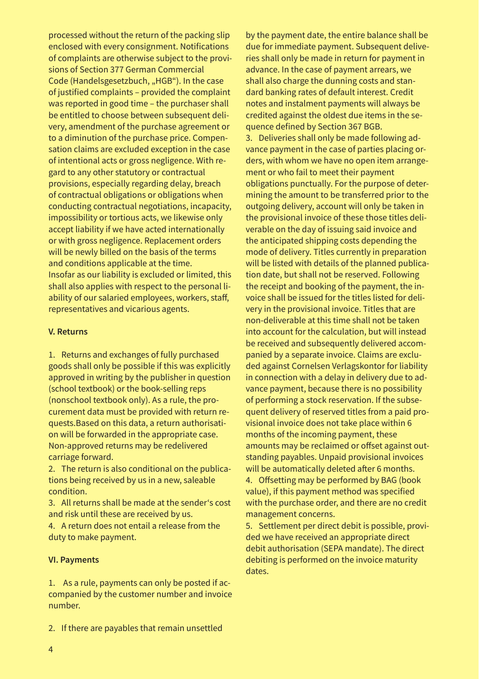processed without the return of the packing slip enclosed with every consignment. Notifications of complaints are otherwise subject to the provisions of Section 377 German Commercial Code (Handelsgesetzbuch, "HGB"). In the case of justified complaints – provided the complaint was reported in good time – the purchaser shall be entitled to choose between subsequent delivery, amendment of the purchase agreement or to a diminution of the purchase price. Compensation claims are excluded exception in the case of intentional acts or gross negligence. With regard to any other statutory or contractual provisions, especially regarding delay, breach of contractual obligations or obligations when conducting contractual negotiations, incapacity, impossibility or tortious acts, we likewise only accept liability if we have acted internationally or with gross negligence. Replacement orders will be newly billed on the basis of the terms and conditions applicable at the time. Insofar as our liability is excluded or limited, this shall also applies with respect to the personal liability of our salaried employees, workers, staff, representatives and vicarious agents.

#### **V. Returns**

1. Returns and exchanges of fully purchased goods shall only be possible if this was explicitly approved in writing by the publisher in question (school textbook) or the book-selling reps (nonschool textbook only). As a rule, the procurement data must be provided with return requests.Based on this data, a return authorisation will be forwarded in the appropriate case. Non-approved returns may be redelivered carriage forward.

2. The return is also conditional on the publications being received by us in a new, saleable condition.

3. All returns shall be made at the sender's cost and risk until these are received by us.

4. A return does not entail a release from the duty to make payment.

# **VI. Payments**

1. As a rule, payments can only be posted if accompanied by the customer number and invoice number.

by the payment date, the entire balance shall be due for immediate payment. Subsequent deliveries shall only be made in return for payment in advance. In the case of payment arrears, we shall also charge the dunning costs and standard banking rates of default interest. Credit notes and instalment payments will always be credited against the oldest due items in the sequence defined by Section 367 BGB. 3. Deliveries shall only be made following advance payment in the case of parties placing orders, with whom we have no open item arrangement or who fail to meet their payment obligations punctually. For the purpose of determining the amount to be transferred prior to the outgoing delivery, account will only be taken in the provisional invoice of these those titles deliverable on the day of issuing said invoice and the anticipated shipping costs depending the mode of delivery. Titles currently in preparation will be listed with details of the planned publication date, but shall not be reserved. Following the receipt and booking of the payment, the invoice shall be issued for the titles listed for delivery in the provisional invoice. Titles that are non-deliverable at this time shall not be taken into account for the calculation, but will instead be received and subsequently delivered accompanied by a separate invoice. Claims are excluded against Cornelsen Verlagskontor for liability in connection with a delay in delivery due to advance payment, because there is no possibility of performing a stock reservation. If the subsequent delivery of reserved titles from a paid provisional invoice does not take place within 6 months of the incoming payment, these amounts may be reclaimed or offset against outstanding payables. Unpaid provisional invoices will be automatically deleted after 6 months. 4. Offsetting may be performed by BAG (book value), if this payment method was specified with the purchase order, and there are no credit management concerns.

5. Settlement per direct debit is possible, provided we have received an appropriate direct debit authorisation (SEPA mandate). The direct debiting is performed on the invoice maturity dates.

2. If there are payables that remain unsettled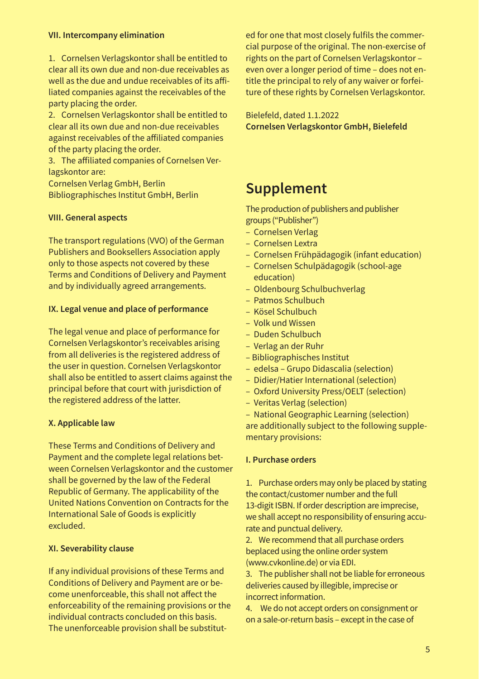#### **VII. Intercompany elimination**

1. Cornelsen Verlagskontor shall be entitled to clear all its own due and non-due receivables as well as the due and undue receivables of its affiliated companies against the receivables of the party placing the order.

2. Cornelsen Verlagskontor shall be entitled to clear all its own due and non-due receivables against receivables of the affiliated companies of the party placing the order.

3. The affiliated companies of Cornelsen Verlagskontor are:

Cornelsen Verlag GmbH, Berlin Bibliographisches Institut GmbH, Berlin

#### **VIII. General aspects**

The transport regulations (VVO) of the German Publishers and Booksellers Association apply only to those aspects not covered by these Terms and Conditions of Delivery and Payment and by individually agreed arrangements.

#### **IX. Legal venue and place of performance**

The legal venue and place of performance for Cornelsen Verlagskontor's receivables arising from all deliveries is the registered address of the user in question. Cornelsen Verlagskontor shall also be entitled to assert claims against the principal before that court with jurisdiction of the registered address of the latter.

#### **X. Applicable law**

These Terms and Conditions of Delivery and Payment and the complete legal relations between Cornelsen Verlagskontor and the customer shall be governed by the law of the Federal Republic of Germany. The applicability of the United Nations Convention on Contracts for the International Sale of Goods is explicitly excluded.

#### **XI. Severability clause**

If any individual provisions of these Terms and Conditions of Delivery and Payment are or become unenforceable, this shall not affect the enforceability of the remaining provisions or the individual contracts concluded on this basis. The unenforceable provision shall be substitut-

ed for one that most closely fulfils the commercial purpose of the original. The non-exercise of rights on the part of Cornelsen Verlagskontor – even over a longer period of time – does not entitle the principal to rely of any waiver or forfeiture of these rights by Cornelsen Verlagskontor.

Bielefeld, dated 1.1.2022 **Cornelsen Verlagskontor GmbH, Bielefeld**

# **Supplement**

The production of publishers and publisher groups ("Publisher")

- Cornelsen Verlag
- Cornelsen Lextra
- Cornelsen Frühpädagogik (infant education)
- Cornelsen Schulpädagogik (school-age education)
- Oldenbourg Schulbuchverlag
- Patmos Schulbuch
- Kösel Schulbuch
- Volk und Wissen
- Duden Schulbuch
- Verlag an der Ruhr
- Bibliographisches Institut
- edelsa Grupo Didascalia (selection)
- Didier/Hatier International (selection)
- Oxford University Press/OELT (selection)
- Veritas Verlag (selection)

– National Geographic Learning (selection) are additionally subject to the following supplementary provisions:

# **I. Purchase orders**

1. Purchase orders may only be placed by stating the contact/customer number and the full 13-digit ISBN. If order description are imprecise, we shall accept no responsibility of ensuring accurate and punctual delivery.

2. We recommend that all purchase orders beplaced using the online order system (www.cvkonline.de) or via EDI.

3. The publisher shall not be liable for erroneous deliveries caused by illegible, imprecise or incorrect information.

4. We do not accept orders on consignment or on a sale-or-return basis – except in the case of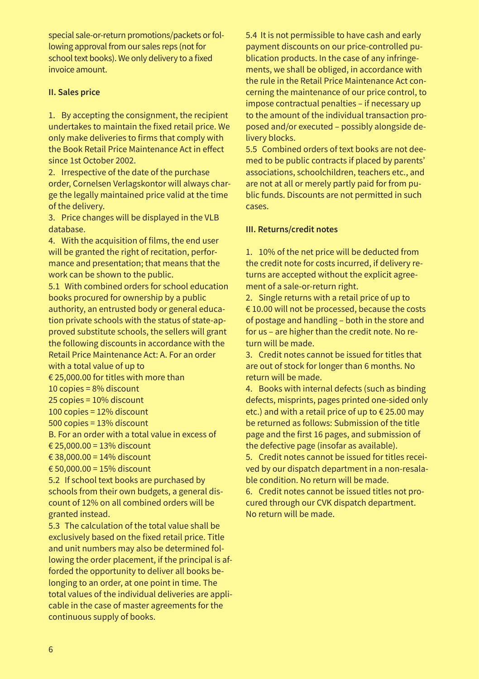special sale-or-return promotions/packets or following approval from our sales reps (not for school text books). We only delivery to a fixed invoice amount.

# **II. Sales price**

1. By accepting the consignment, the recipient undertakes to maintain the fixed retail price. We only make deliveries to firms that comply with the Book Retail Price Maintenance Act in effect since 1st October 2002.

2. Irrespective of the date of the purchase order, Cornelsen Verlagskontor will always charge the legally maintained price valid at the time of the delivery.

3. Price changes will be displayed in the VLB database.

4. With the acquisition of films, the end user will be granted the right of recitation, performance and presentation; that means that the work can be shown to the public.

5.1 With combined orders for school education books procured for ownership by a public authority, an entrusted body or general education private schools with the status of state-approved substitute schools, the sellers will grant the following discounts in accordance with the Retail Price Maintenance Act: A. For an order with a total value of up to

€ 25,000.00 for titles with more than

10 copies = 8% discount

25 copies = 10% discount

100 copies = 12% discount

500 copies = 13% discount

B. For an order with a total value in excess of

€ 25,000.00 = 13% discount

€ 38,000.00 = 14% discount

€ 50,000.00 = 15% discount

5.2 If school text books are purchased by schools from their own budgets, a general discount of 12% on all combined orders will be granted instead.

5.3 The calculation of the total value shall be exclusively based on the fixed retail price. Title and unit numbers may also be determined following the order placement, if the principal is afforded the opportunity to deliver all books belonging to an order, at one point in time. The total values of the individual deliveries are applicable in the case of master agreements for the continuous supply of books.

5.4 It is not permissible to have cash and early payment discounts on our price-controlled publication products. In the case of any infringements, we shall be obliged, in accordance with the rule in the Retail Price Maintenance Act concerning the maintenance of our price control, to impose contractual penalties – if necessary up to the amount of the individual transaction proposed and/or executed – possibly alongside delivery blocks.

5.5 Combined orders of text books are not deemed to be public contracts if placed by parents' associations, schoolchildren, teachers etc., and are not at all or merely partly paid for from public funds. Discounts are not permitted in such cases.

# **III. Returns/credit notes**

1. 10% of the net price will be deducted from the credit note for costs incurred, if delivery returns are accepted without the explicit agreement of a sale-or-return right.

2. Single returns with a retail price of up to € 10.00 will not be processed, because the costs of postage and handling – both in the store and for us – are higher than the credit note. No return will be made.

3. Credit notes cannot be issued for titles that are out of stock for longer than 6 months. No return will be made.

4. Books with internal defects (such as binding defects, misprints, pages printed one-sided only etc.) and with a retail price of up to € 25.00 may be returned as follows: Submission of the title page and the first 16 pages, and submission of the defective page (insofar as available).

5. Credit notes cannot be issued for titles received by our dispatch department in a non-resalable condition. No return will be made.

6. Credit notes cannot be issued titles not procured through our CVK dispatch department. No return will be made.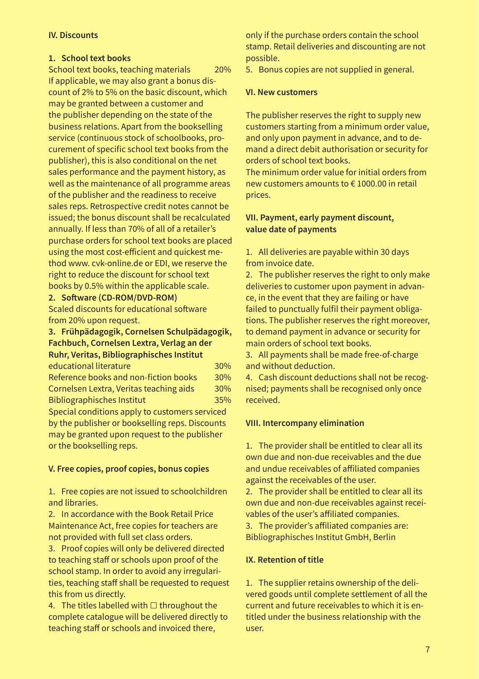# **IV. Discounts**

# **1. School text books**

School text books, teaching materials 20% If applicable, we may also grant a bonus discount of 2% to 5% on the basic discount, which may be granted between a customer and the publisher depending on the state of the business relations. Apart from the bookselling service (continuous stock of schoolbooks, procurement of specific school text books from the publisher), this is also conditional on the net sales performance and the payment history, as well as the maintenance of all programme areas of the publisher and the readiness to receive sales reps. Retrospective credit notes cannot be issued; the bonus discount shall be recalculated annually. If less than 70% of all of a retailer's purchase orders for school text books are placed using the most cost-efficient and quickest method www. cvk-online.de or EDI, we reserve the right to reduce the discount for school text books by 0.5% within the applicable scale.

# **2. Software (CD-ROM/DVD-ROM)**

Scaled discounts for educational software from 20% upon request.

**3. Frühpädagogik, Cornelsen Schulpädagogik, Fachbuch, Cornelsen Lextra, Verlag an der Ruhr, Veritas, Bibliographisches Institut** educational literature 30% Reference books and non-fiction books 30% Cornelsen Lextra, Veritas teaching aids 30%

Bibliographisches Institut 35% Special conditions apply to customers serviced by the publisher or bookselling reps. Discounts may be granted upon request to the publisher or the bookselling reps.

# **V. Free copies, proof copies, bonus copies**

1. Free copies are not issued to schoolchildren and libraries.

2. In accordance with the Book Retail Price Maintenance Act, free copies for teachers are not provided with full set class orders.

3. Proof copies will only be delivered directed to teaching staff or schools upon proof of the school stamp. In order to avoid any irregularities, teaching staff shall be requested to request this from us directly.

4. The titles labelled with  $\Box$  throughout the complete catalogue will be delivered directly to teaching staff or schools and invoiced there,

only if the purchase orders contain the school stamp. Retail deliveries and discounting are not possible.

5. Bonus copies are not supplied in general.

#### **VI. New customers**

The publisher reserves the right to supply new customers starting from a minimum order value, and only upon payment in advance, and to demand a direct debit authorisation or security for orders of school text books.

The minimum order value for initial orders from new customers amounts to € 1000.00 in retail prices.

# **VII. Payment, early payment discount, value date of payments**

1. All deliveries are payable within 30 days from invoice date.

2. The publisher reserves the right to only make deliveries to customer upon payment in advance, in the event that they are failing or have failed to punctually fulfil their payment obligations. The publisher reserves the right moreover, to demand payment in advance or security for main orders of school text books.

3. All payments shall be made free-of-charge and without deduction.

4. Cash discount deductions shall not be recognised; payments shall be recognised only once received.

# **VIII. Intercompany elimination**

1. The provider shall be entitled to clear all its own due and non-due receivables and the due and undue receivables of affiliated companies against the receivables of the user.

2. The provider shall be entitled to clear all its own due and non-due receivables against receivables of the user's affiliated companies.

3. The provider's affiliated companies are: Bibliographisches Institut GmbH, Berlin

## **IX. Retention of title**

1. The supplier retains ownership of the delivered goods until complete settlement of all the current and future receivables to which it is entitled under the business relationship with the user.